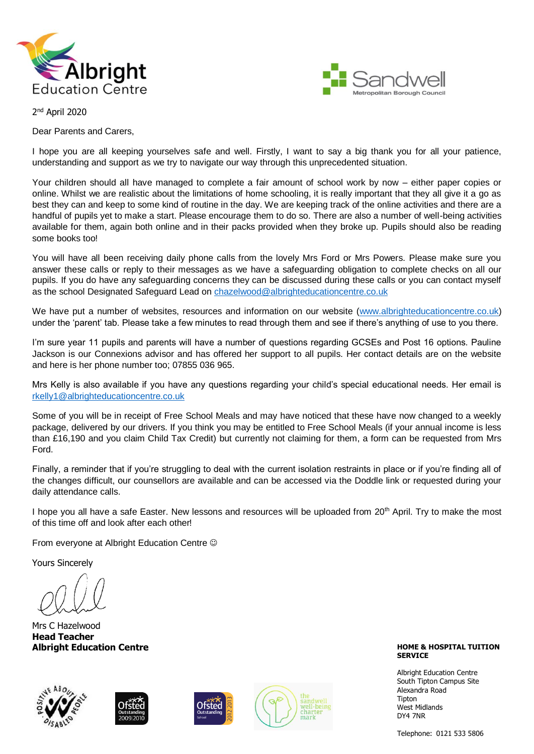



2<sup>nd</sup> April 2020

Dear Parents and Carers,

I hope you are all keeping yourselves safe and well. Firstly, I want to say a big thank you for all your patience, understanding and support as we try to navigate our way through this unprecedented situation.

Your children should all have managed to complete a fair amount of school work by now – either paper copies or online. Whilst we are realistic about the limitations of home schooling, it is really important that they all give it a go as best they can and keep to some kind of routine in the day. We are keeping track of the online activities and there are a handful of pupils yet to make a start. Please encourage them to do so. There are also a number of well-being activities available for them, again both online and in their packs provided when they broke up. Pupils should also be reading some books too!

You will have all been receiving daily phone calls from the lovely Mrs Ford or Mrs Powers. Please make sure you answer these calls or reply to their messages as we have a safeguarding obligation to complete checks on all our pupils. If you do have any safeguarding concerns they can be discussed during these calls or you can contact myself as the school Designated Safeguard Lead on [chazelwood@albrighteducationcentre.co.uk](mailto:chazelwood@albrighteducationcentre.co.uk)

We have put a number of websites, resources and information on our website [\(www.albrighteducationcentre.co.uk\)](http://www.albrighteducationcentre.co.uk/) under the 'parent' tab. Please take a few minutes to read through them and see if there's anything of use to you there.

I'm sure year 11 pupils and parents will have a number of questions regarding GCSEs and Post 16 options. Pauline Jackson is our Connexions advisor and has offered her support to all pupils. Her contact details are on the website and here is her phone number too; 07855 036 965.

Mrs Kelly is also available if you have any questions regarding your child's special educational needs. Her email is [rkelly1@albrighteducationcentre.co.uk](mailto:rkelly1@albrighteducationcentre.co.uk)

Some of you will be in receipt of Free School Meals and may have noticed that these have now changed to a weekly package, delivered by our drivers. If you think you may be entitled to Free School Meals (if your annual income is less than £16,190 and you claim Child Tax Credit) but currently not claiming for them, a form can be requested from Mrs Ford.

Finally, a reminder that if you're struggling to deal with the current isolation restraints in place or if you're finding all of the changes difficult, our counsellors are available and can be accessed via the Doddle link or requested during your daily attendance calls.

I hope you all have a safe Easter. New lessons and resources will be uploaded from 20<sup>th</sup> April. Try to make the most of this time off and look after each other!

From everyone at Albright Education Centre

Yours Sincerely

Mrs C Hazelwood **Head Teacher Albright Education Centre**









**HOME & HOSPITAL TUITION SERVICE**

Albright Education Centre South Tipton Campus Site Alexandra Road Tipton West Midlands DY4 7NR

Telephone: 0121 533 5806